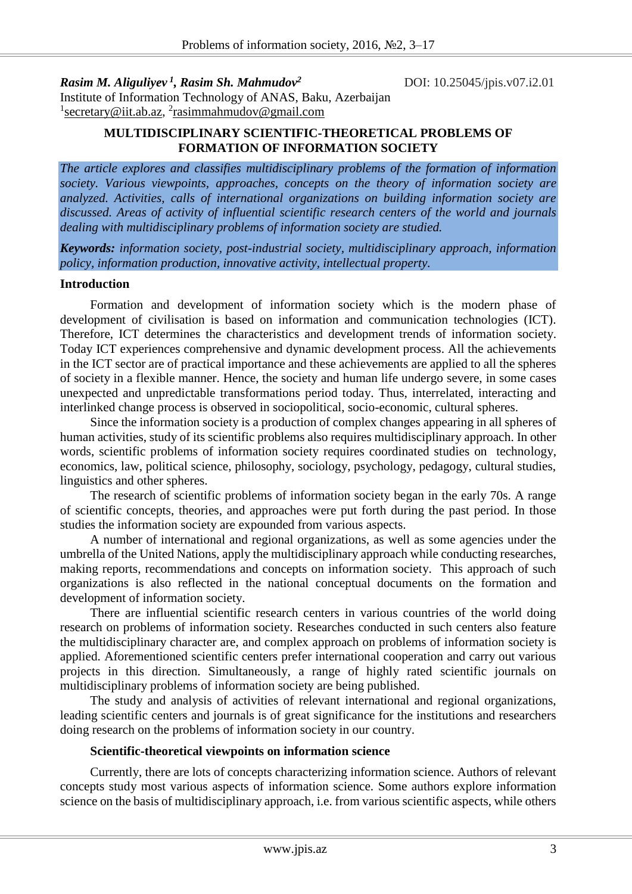*Rasim M. Aliguliyev <sup>1</sup> , Rasim Sh. Mahmudov<sup>2</sup>*

DOI: 10.25045/jpis.v07.i2.01

Institute of Information Technology of ANAS, Baku, Azerbaijan <sup>1</sup>[secretary@iit.ab.az,](mailto:secretary@iit.ab.az) <sup>2</sup>rasimmahmudov@gmail.com

## **MULTIDISCIPLINARY SCIENTIFIC-THEORETICAL PROBLEMS OF FORMATION OF INFORMATION SOCIETY**

*The article explores and classifies multidisciplinary problems of the formation of information society. Various viewpoints, approaches, concepts on the theory of information society are analyzed. Activities, calls of international organizations on building information society are discussed. Areas of activity of influential scientific research centers of the world and journals dealing with multidisciplinary problems of information society are studied.*

*Keywords: information society, post-industrial society, multidisciplinary approach, information policy, information production, innovative activity, intellectual property.*

## **Introduction**

Formation and development of information society which is the modern phase of development of civilisation is based on information and communication technologies (ICT). Therefore, ICT determines the characteristics and development trends of information society. Today ICT experiences comprehensive and dynamic development process. All the achievements in the ICT sector are of practical importance and these achievements are applied to all the spheres of society in a flexible manner. Hence, the society and human life undergo severe, in some cases unexpected and unpredictable transformations period today. Thus, interrelated, interacting and interlinked change process is observed in sociopolitical, socio-economic, cultural spheres.

Since the information society is a production of complex changes appearing in all spheres of human activities, study of its scientific problems also requires multidisciplinary approach. In other words, scientific problems of information society requires coordinated studies on technology, economics, law, political science, philosophy, sociology, psychology, pedagogy, cultural studies, linguistics and other spheres.

The research of scientific problems of information society began in the early 70s. A range of scientific concepts, theories, and approaches were put forth during the past period. In those studies the information society are expounded from various aspects.

A number of international and regional organizations, as well as some agencies under the umbrella of the United Nations, apply the multidisciplinary approach while conducting researches, making reports, recommendations and concepts on information society. This approach of such organizations is also reflected in the national conceptual documents on the formation and development of information society.

There are influential scientific research centers in various countries of the world doing research on problems of information society. Researches conducted in such centers also feature the multidisciplinary character are, and complex approach on problems of information society is applied. Aforementioned scientific centers prefer international cooperation and carry out various projects in this direction. Simultaneously, a range of highly rated scientific journals on multidisciplinary problems of information society are being published.

The study and analysis of activities of relevant international and regional organizations, leading scientific centers and journals is of great significance for the institutions and researchers doing research on the problems of information society in our country.

### **Scientific-theoretical viewpoints on information science**

Currently, there are lots of concepts characterizing information science. Authors of relevant concepts study most various aspects of information science. Some authors explore information science on the basis of multidisciplinary approach, i.e. from various scientific aspects, while others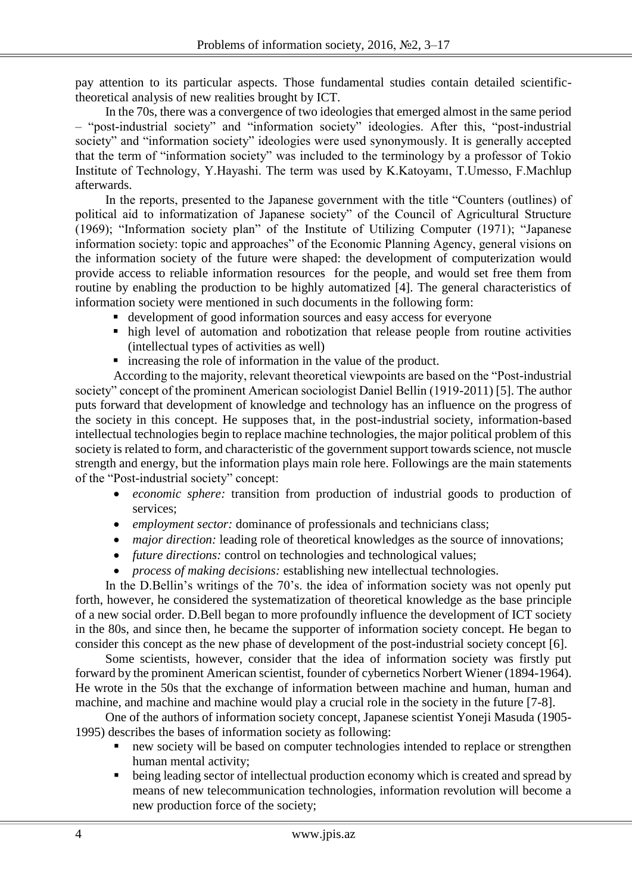pay attention to its particular aspects. Those fundamental studies contain detailed scientifictheoretical analysis of new realities brought by ICT.

In the 70s, there was a convergence of two ideologies that emerged almost in the same period – "post-industrial society" and "information society" ideologies. After this, "post-industrial society" and "information society" ideologies were used synonymously. It is generally accepted that the term of "information society" was included to the terminology by a professor of Tokio Institute of Technology, Y.Hayashi. The term was used by K.Katoyamı, T.Umesso, F.Machlup afterwards.

In the reports, presented to the Japanese government with the title "Counters (outlines) of political aid to informatization of Japanese society" of the Council of Agricultural Structure (1969); "Information society plan" of the Institute of Utilizing Computer (1971); "Japanese information society: topic and approaches" of the Economic Planning Agency, general visions on the information society of the future were shaped: the development of computerization would provide access to reliable information resources for the people, and would set free them from routine by enabling the production to be highly automatized [4]. The general characteristics of information society were mentioned in such documents in the following form:

- development of good information sources and easy access for everyone
- high level of automation and robotization that release people from routine activities (intellectual types of activities as well)
- increasing the role of information in the value of the product.

According to the majority, relevant theoretical viewpoints are based on the "Post-industrial society" concept of the prominent American sociologist Daniel Bellin (1919-2011) [5]. The author puts forward that development of knowledge and technology has an influence on the progress of the society in this concept. He supposes that, in the post-industrial society, information-based intellectual technologies begin to replace machine technologies, the major political problem of this society is related to form, and characteristic of the government support towards science, not muscle strength and energy, but the information plays main role here. Followings are the main statements of the "Post-industrial society" concept:

- *economic sphere:* transition from production of industrial goods to production of services;
- *employment sector:* dominance of professionals and technicians class;
- *major direction:* leading role of theoretical knowledges as the source of innovations;
- *future directions:* control on technologies and technological values;
- *process of making decisions:* establishing new intellectual technologies.

In the D.Bellin's writings of the 70's. the idea of information society was not openly put forth, however, he considered the systematization of theoretical knowledge as the base principle of a new social order. D.Bell began to more profoundly influence the development of ICT society in the 80s, and since then, he became the supporter of information society concept. He began to consider this concept as the new phase of development of the post-industrial society concept [6].

Some scientists, however, consider that the idea of information society was firstly put forward by the prominent American scientist, founder of cybernetics Norbert Wiener (1894-1964). He wrote in the 50s that the exchange of information between machine and human, human and machine, and machine and machine would play a crucial role in the society in the future [7-8].

One of the authors of information society concept, Japanese scientist Yoneji Masuda (1905- 1995) describes the bases of information society as following:

- new society will be based on computer technologies intended to replace or strengthen human mental activity;
- $\bullet$  being leading sector of intellectual production economy which is created and spread by means of new telecommunication technologies, information revolution will become a new production force of the society;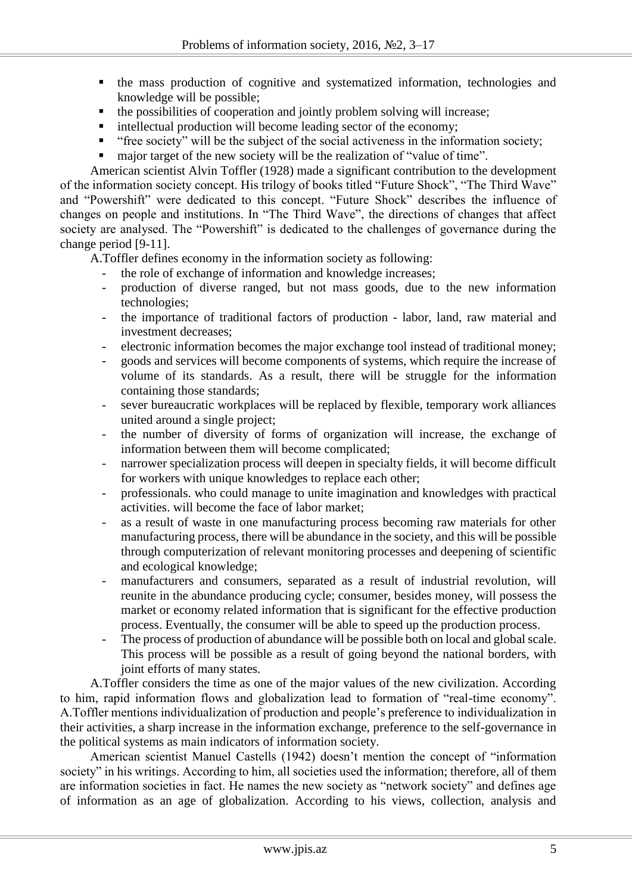- the mass production of cognitive and systematized information, technologies and knowledge will be possible;
- $\blacksquare$  the possibilities of cooperation and jointly problem solving will increase;
- $\blacksquare$  intellectual production will become leading sector of the economy;
- "free society" will be the subject of the social activeness in the information society;
- major target of the new society will be the realization of "value of time".

American scientist Alvin Toffler (1928) made a significant contribution to the development of the information society concept. His trilogy of books titled "Future Shock", "The Third Wave" and "Powershift" were dedicated to this concept. "Future Shock" describes the influence of changes on people and institutions. In "The Third Wave", the directions of changes that affect society are analysed. The "Powershift" is dedicated to the challenges of governance during the change period [9-11].

A.Toffler defines economy in the information society as following:

- the role of exchange of information and knowledge increases;
- production of diverse ranged, but not mass goods, due to the new information technologies;
- the importance of traditional factors of production labor, land, raw material and investment decreases;
- electronic information becomes the major exchange tool instead of traditional money;
- goods and services will become components of systems, which require the increase of volume of its standards. As a result, there will be struggle for the information containing those standards;
- sever bureaucratic workplaces will be replaced by flexible, temporary work alliances united around a single project;
- the number of diversity of forms of organization will increase, the exchange of information between them will become complicated;
- narrower specialization process will deepen in specialty fields, it will become difficult for workers with unique knowledges to replace each other;
- professionals. who could manage to unite imagination and knowledges with practical activities. will become the face of labor market;
- as a result of waste in one manufacturing process becoming raw materials for other manufacturing process, there will be abundance in the society, and this will be possible through computerization of relevant monitoring processes and deepening of scientific and ecological knowledge;
- manufacturers and consumers, separated as a result of industrial revolution, will reunite in the abundance producing cycle; consumer, besides money, will possess the market or economy related information that is significant for the effective production process. Eventually, the consumer will be able to speed up the production process.
- The process of production of abundance will be possible both on local and global scale. This process will be possible as a result of going beyond the national borders, with joint efforts of many states.

A.Toffler considers the time as one of the major values of the new civilization. According to him, rapid information flows and globalization lead to formation of "real-time economy". A.Toffler mentions individualization of production and people's preference to individualization in their activities, a sharp increase in the information exchange, preference to the self-governance in the political systems as main indicators of information society.

American scientist Manuel Castells (1942) doesn't mention the concept of "information society" in his writings. According to him, all societies used the information; therefore, all of them are information societies in fact. He names the new society as "network society" and defines age of information as an age of globalization. According to his views, collection, analysis and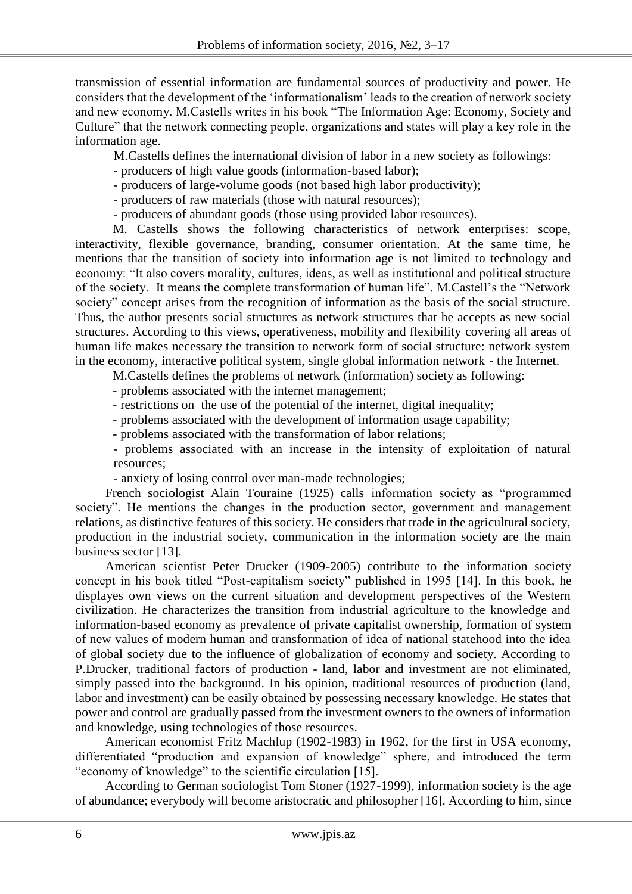transmission of essential information are fundamental sources of productivity and power. He considers that the development of the 'informationalism' leads to the creation of network society and new economy. M.Castells writes in his book ["The Information Age: Economy, Society and](https://en.wikipedia.org/wiki/The_Information_Age:_Economy,_Society_and_Culture)  [Culture"](https://en.wikipedia.org/wiki/The_Information_Age:_Economy,_Society_and_Culture) that the network connecting people, organizations and states will play a key role in the information age.

M.Castells defines the international division of labor in a new society as followings:

- producers of high value goods (information-based labor);
- producers of large-volume goods (not based high labor productivity);
- producers of raw materials (those with natural resources);
- producers of abundant goods (those using provided labor resources).

M. Castells shows the following characteristics of network enterprises: scope, interactivity, flexible governance, branding, consumer orientation. At the same time, he mentions that the transition of society into information age is not limited to technology and economy: "It also covers morality, cultures, ideas, as well as institutional and political structure of the society. It means the complete transformation of human life". M.Castell's the "Network society" concept arises from the recognition of information as the basis of the social structure. Thus, the author presents social structures as network structures that he accepts as new social structures. According to this views, operativeness, mobility and flexibility covering all areas of human life makes necessary the transition to network form of social structure: network system in the economy, interactive political system, single global information network - the Internet.

M.Castells defines the problems of network (information) society as following:

- problems associated with the internet management;

- restrictions on the use of the potential of the internet, digital inequality;
- problems associated with the development of information usage capability;
- problems associated with the transformation of labor relations;

- problems associated with an increase in the intensity of exploitation of natural resources;

- anxiety of losing control over man-made technologies;

French sociologist Alain Touraine (1925) calls information society as "programmed society". He mentions the changes in the production sector, government and management relations, as distinctive features of this society. He considers that trade in the agricultural society, production in the industrial society, communication in the information society are the main business sector [13].

American scientist Peter Drucker (1909-2005) contribute to the information society concept in his book titled "Post-capitalism society" published in 1995 [14]. In this book, he displayes own views on the current situation and development perspectives of the Western civilization. He characterizes the transition from industrial agriculture to the knowledge and information-based economy as prevalence of private capitalist ownership, formation of system of new values of modern human and transformation of idea of national statehood into the idea of global society due to the influence of globalization of economy and society. According to P.Drucker, traditional factors of production - land, labor and investment are not eliminated, simply passed into the background. In his opinion, traditional resources of production (land, labor and investment) can be easily obtained by possessing necessary knowledge. He states that power and control are gradually passed from the investment owners to the owners of information and knowledge, using technologies of those resources.

American economist Fritz Machlup (1902-1983) in 1962, for the first in USA economy, differentiated "production and expansion of knowledge" sphere, and introduced the term "economy of knowledge" to the scientific circulation [15].

According to German sociologist Tom Stoner (1927-1999), information society is the age of abundance; everybody will become aristocratic and philosopher [16]. According to him, since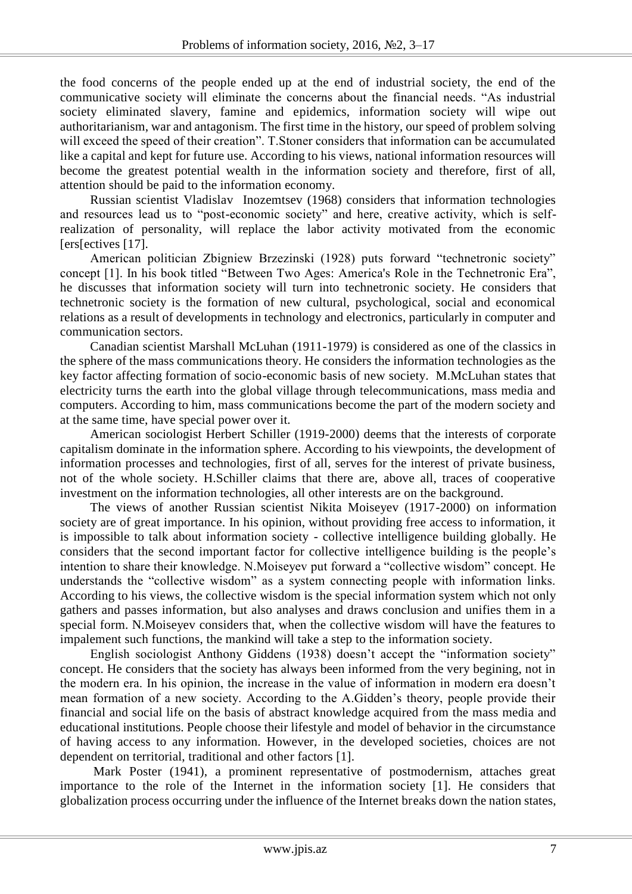the food concerns of the people ended up at the end of industrial society, the end of the communicative society will eliminate the concerns about the financial needs. "As industrial society eliminated slavery, famine and epidemics, information society will wipe out authoritarianism, war and antagonism. The first time in the history, our speed of problem solving will exceed the speed of their creation". T.Stoner considers that information can be accumulated like a capital and kept for future use. According to his views, national information resources will become the greatest potential wealth in the information society and therefore, first of all, attention should be paid to the information economy.

Russian scientist Vladislav Inozemtsev (1968) considers that information technologies and resources lead us to "post-economic society" and here, creative activity, which is selfrealization of personality, will replace the labor activity motivated from the economic [ers[ectives [17].

American politician Zbigniew Brzezinski (1928) puts forward "technetronic society" concept [1]. In his book titled "Between Two Ages: America's Role in the Technetronic Era", he discusses that information society will turn into technetronic society. He considers that technetronic society is the formation of new cultural, psychological, social and economical relations as a result of developments in technology and electronics, particularly in computer and communication sectors.

Canadian scientist Marshall McLuhan (1911-1979) is considered as one of the classics in the sphere of the mass communications theory. He considers the information technologies as the key factor affecting formation of socio-economic basis of new society. M.McLuhan states that electricity turns the earth into the global village through telecommunications, mass media and computers. According to him, mass communications become the part of the modern society and at the same time, have special power over it.

American sociologist Herbert Schiller (1919-2000) deems that the interests of corporate capitalism dominate in the information sphere. According to his viewpoints, the development of information processes and technologies, first of all, serves for the interest of private business, not of the whole society. H.Schiller claims that there are, above all, traces of cooperative investment on the information technologies, all other interests are on the background.

The views of another Russian scientist Nikita Moiseyev (1917-2000) on information society are of great importance. In his opinion, without providing free access to information, it is impossible to talk about information society - collective intelligence building globally. He considers that the second important factor for collective intelligence building is the people's intention to share their knowledge. N.Moiseyev put forward a "collective wisdom" concept. He understands the "collective wisdom" as a system connecting people with information links. According to his views, the collective wisdom is the special information system which not only gathers and passes information, but also analyses and draws conclusion and unifies them in a special form. N.Moiseyev considers that, when the collective wisdom will have the features to impalement such functions, the mankind will take a step to the information society.

English sociologist Anthony Giddens (1938) doesn't accept the "information society" concept. He considers that the society has always been informed from the very begining, not in the modern era. In his opinion, the increase in the value of information in modern era doesn't mean formation of a new society. According to the A.Gidden's theory, people provide their financial and social life on the basis of abstract knowledge acquired from the mass media and educational institutions. People choose their lifestyle and model of behavior in the circumstance of having access to any information. However, in the developed societies, choices are not dependent on territorial, traditional and other factors [1].

Mark Poster (1941), a prominent representative of postmodernism, attaches great importance to the role of the Internet in the information society [1]. He considers that globalization process occurring under the influence of the Internet breaks down the nation states,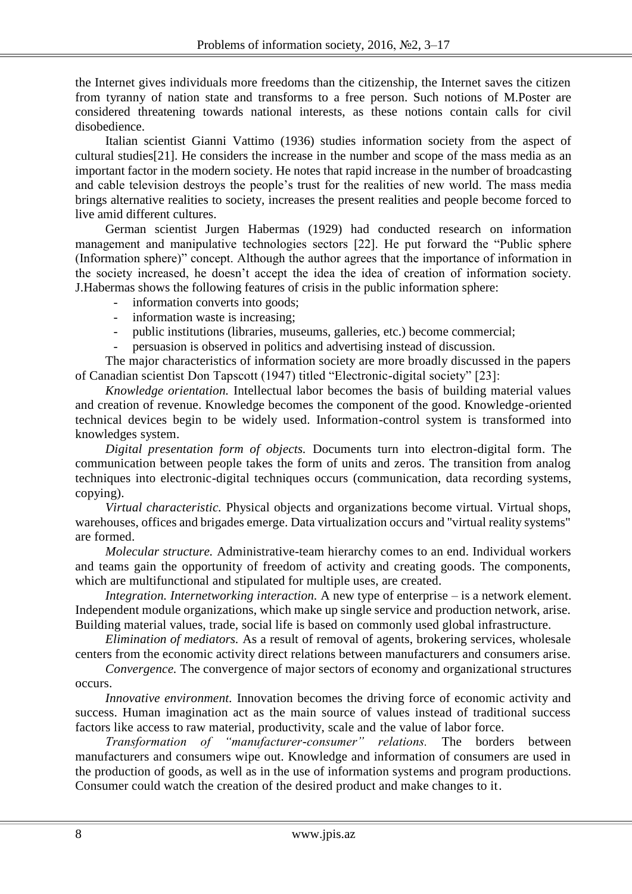the Internet gives individuals more freedoms than the citizenship, the Internet saves the citizen from tyranny of nation state and transforms to a free person. Such notions of M.Poster are considered threatening towards national interests, as these notions contain calls for civil disobedience.

Italian scientist Gianni Vattimo (1936) studies information society from the aspect of cultural studies[21]. He considers the increase in the number and scope of the mass media as an important factor in the modern society. He notes that rapid increase in the number of broadcasting and cable television destroys the people's trust for the realities of new world. The mass media brings alternative realities to society, increases the present realities and people become forced to live amid different cultures.

German scientist Jurgen Habermas (1929) had conducted research on information management and manipulative technologies sectors [22]. He put forward the "Public sphere (Information sphere)" concept. Although the author agrees that the importance of information in the society increased, he doesn't accept the idea the idea of creation of information society. J.Habermas shows the following features of crisis in the public information sphere:

- information converts into goods;
- information waste is increasing;
- public institutions (libraries, museums, galleries, etc.) become commercial;
- persuasion is observed in politics and advertising instead of discussion.

The major characteristics of information society are more broadly discussed in the papers of Canadian scientist Don Tapscott (1947) titled "Electronic-digital society" [23]:

*Knowledge orientation.* Intellectual labor becomes the basis of building material values and creation of revenue. Knowledge becomes the component of the good. Knowledge-oriented technical devices begin to be widely used. Information-control system is transformed into knowledges system.

*Digital presentation form of objects.* Documents turn into electron-digital form. The communication between people takes the form of units and zeros. The transition from analog techniques into electronic-digital techniques occurs (communication, data recording systems, copying).

*Virtual characteristic.* Physical objects and organizations become virtual. Virtual shops, warehouses, offices and brigades emerge. Data virtualization occurs and "virtual reality systems" are formed.

*Molecular structure.* Administrative-team hierarchy comes to an end. Individual workers and teams gain the opportunity of freedom of activity and creating goods. The components, which are multifunctional and stipulated for multiple uses, are created.

*Integration. Internetworking interaction.* A new type of enterprise – is a network element. Independent module organizations, which make up single service and production network, arise. Building material values, trade, social life is based on commonly used global infrastructure.

*Elimination of mediators.* As a result of removal of agents, brokering services, wholesale centers from the economic activity direct relations between manufacturers and consumers arise.

*Convergence.* The convergence of major sectors of economy and organizational structures occurs.

*Innovative environment.* Innovation becomes the driving force of economic activity and success. Human imagination act as the main source of values instead of traditional success factors like access to raw material, productivity, scale and the value of labor force.

*Transformation of "manufacturer-consumer" relations.* The borders between manufacturers and consumers wipe out. Knowledge and information of consumers are used in the production of goods, as well as in the use of information systems and program productions. Consumer could watch the creation of the desired product and make changes to it.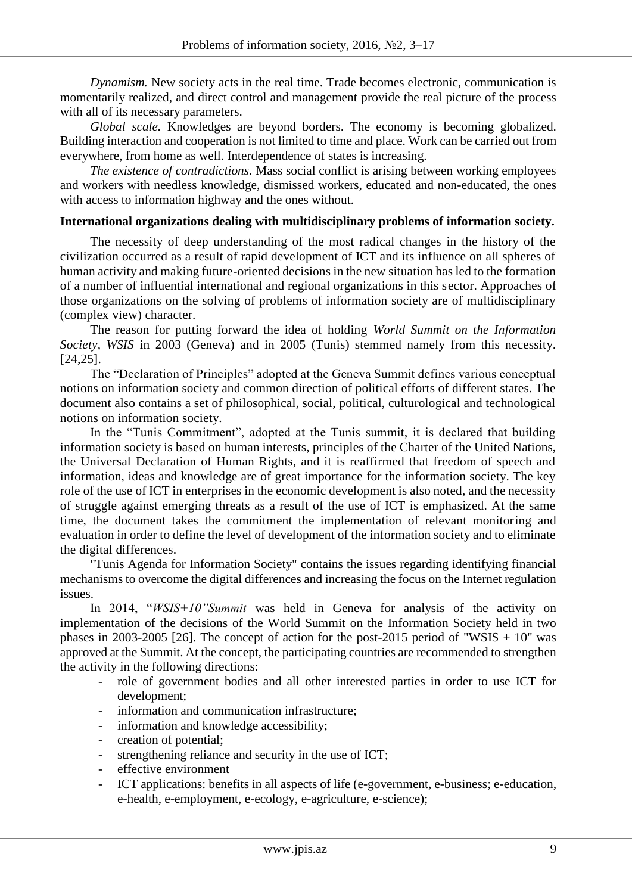*Dynamism.* New society acts in the real time. Trade becomes electronic, communication is momentarily realized, and direct control and management provide the real picture of the process with all of its necessary parameters.

*Global scale.* Knowledges are beyond borders. The economy is becoming globalized. Building interaction and cooperation is not limited to time and place. Work can be carried out from everywhere, from home as well. Interdependence of states is increasing.

*The existence of contradictions.* Mass social conflict is arising between working employees and workers with needless knowledge, dismissed workers, educated and non-educated, the ones with access to information highway and the ones without.

#### **International organizations dealing with multidisciplinary problems of information society.**

The necessity of deep understanding of the most radical changes in the history of the civilization occurred as a result of rapid development of ICT and its influence on all spheres of human activity and making future-oriented decisions in the new situation has led to the formation of a number of influential international and regional organizations in this sector. Approaches of those organizations on the solving of problems of information society are of multidisciplinary (complex view) character.

The reason for putting forward the idea of holding *World Summit on the Information Society, WSIS* in 2003 (Geneva) and in 2005 (Tunis) stemmed namely from this necessity. [24,25].

The "Declaration of Principles" adopted at the Geneva Summit defines various conceptual notions on information society and common direction of political efforts of different states. The document also contains a set of philosophical, social, political, culturological and technological notions on information society.

In the "Tunis Commitment", adopted at the Tunis summit, it is declared that building information society is based on human interests, principles of the Charter of the United Nations, the Universal Declaration of Human Rights, and it is reaffirmed that freedom of speech and information, ideas and knowledge are of great importance for the information society. The key role of the use of ICT in enterprises in the economic development is also noted, and the necessity of struggle against emerging threats as a result of the use of ICT is emphasized. At the same time, the document takes the commitment the implementation of relevant monitoring and evaluation in order to define the level of development of the information society and to eliminate the digital differences.

"Tunis Agenda for Information Society" contains the issues regarding identifying financial mechanisms to overcome the digital differences and increasing the focus on the Internet regulation issues.

In 2014, "*WSIS+10"Summit* was held in Geneva for analysis of the activity on implementation of the decisions of the World Summit on the Information Society held in two phases in 2003-2005 [26]. The concept of action for the post-2015 period of "WSIS  $+ 10$ " was approved at the Summit. At the concept, the participating countries are recommended to strengthen the activity in the following directions:

- role of government bodies and all other interested parties in order to use ICT for development;
- information and communication infrastructure;
- information and knowledge accessibility;
- creation of potential;
- strengthening reliance and security in the use of ICT;
- effective environment
- ICT applications: benefits in all aspects of life (e-government, e-business; e-education, e-health, e-employment, e-ecology, e-agriculture, e-science);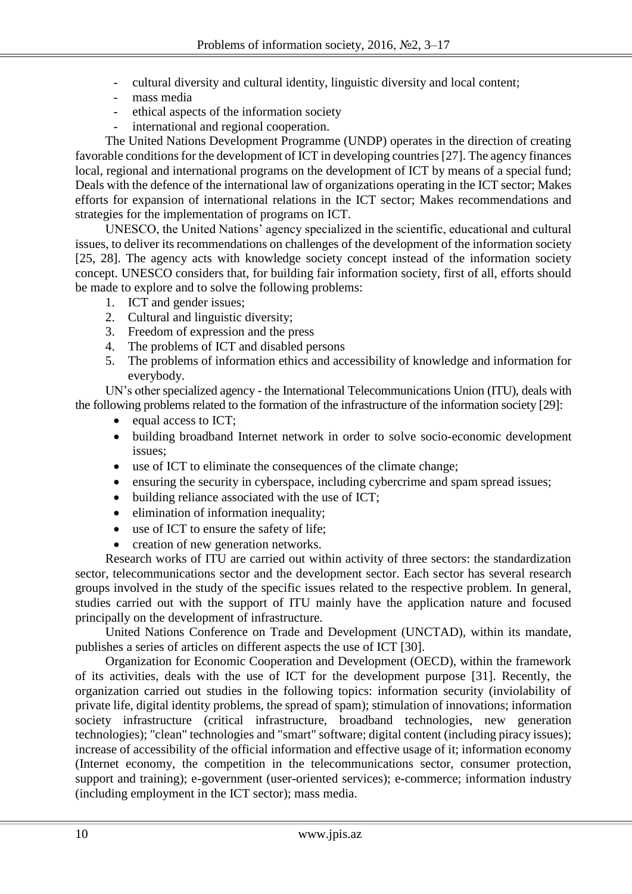- cultural diversity and cultural identity, linguistic diversity and local content;
- mass media
- ethical aspects of the information society<br>international and regional cooperation
- international and regional cooperation.

The United Nations Development Programme (UNDP) operates in the direction of creating favorable conditions for the development of ICT in developing countries [27]. The agency finances local, regional and international programs on the development of ICT by means of a special fund; Deals with the defence of the international law of organizations operating in the ICT sector; Makes efforts for expansion of international relations in the ICT sector; Makes recommendations and strategies for the implementation of programs on ICT.

UNESCO, the United Nations' agency specialized in the scientific, educational and cultural issues, to deliver its recommendations on challenges of the development of the information society [25, 28]. The agency acts with knowledge society concept instead of the information society concept. UNESCO considers that, for building fair information society, first of all, efforts should be made to explore and to solve the following problems:

- 1. ICT and gender issues;
- 2. Cultural and linguistic diversity;
- 3. Freedom of expression and the press
- 4. The problems of ICT and disabled persons
- 5. The problems of information ethics and accessibility of knowledge and information for everybody.

UN's other specialized agency - the International Telecommunications Union (ITU), deals with the following problems related to the formation of the infrastructure of the information society [29]:

- equal access to ICT;
- building broadband Internet network in order to solve socio-economic development issues;
- use of ICT to eliminate the consequences of the climate change;
- ensuring the security in cyberspace, including cybercrime and spam spread issues;
- building reliance associated with the use of ICT:
- elimination of information inequality;
- use of ICT to ensure the safety of life;
- creation of new generation networks.

Research works of ITU are carried out within activity of three sectors: the standardization sector, telecommunications sector and the development sector. Each sector has several research groups involved in the study of the specific issues related to the respective problem. In general, studies carried out with the support of ITU mainly have the application nature and focused principally on the development of infrastructure.

United Nations Conference on Trade and Development (UNCTAD), within its mandate, publishes a series of articles on different aspects the use of ICT [30].

Organization for Economic Cooperation and Development (OECD), within the framework of its activities, deals with the use of ICT for the development purpose [31]. Recently, the organization carried out studies in the following topics: information security (inviolability of private life, digital identity problems, the spread of spam); stimulation of innovations; information society infrastructure (critical infrastructure, broadband technologies, new generation technologies); "clean" technologies and "smart" software; digital content (including piracy issues); increase of accessibility of the official information and effective usage of it; information economy (Internet economy, the competition in the telecommunications sector, consumer protection, support and training); e-government (user-oriented services); e-commerce; information industry (including employment in the ICT sector); mass media.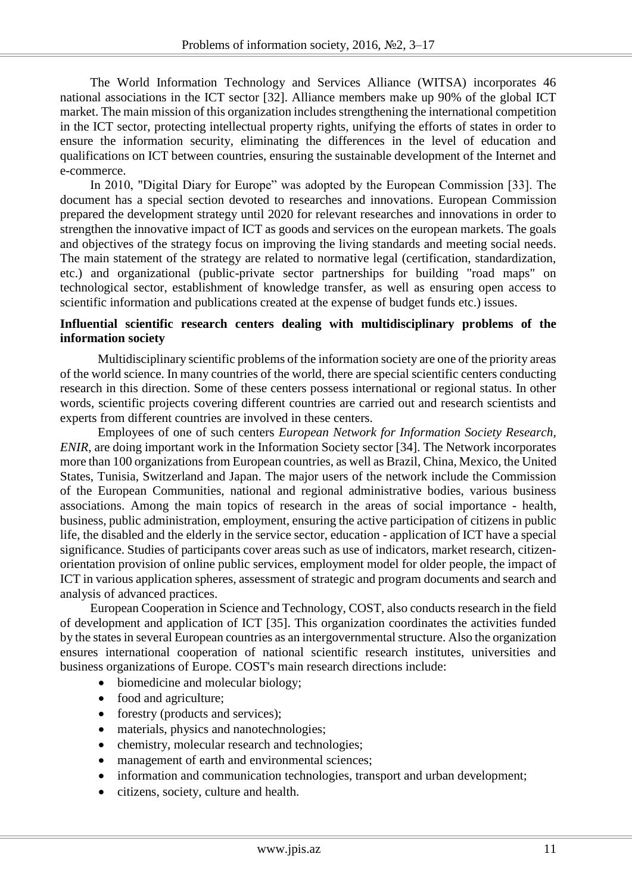The World Information Technology and Services Alliance (WITSA) incorporates 46 national associations in the ICT sector [32]. Alliance members make up 90% of the global ICT market. The main mission of this organization includes strengthening the international competition in the ICT sector, protecting intellectual property rights, unifying the efforts of states in order to ensure the information security, eliminating the differences in the level of education and qualifications on ICT between countries, ensuring the sustainable development of the Internet and e-commerce.

In 2010, "Digital Diary for Europe" was adopted by the European Commission [33]. The document has a special section devoted to researches and innovations. European Commission prepared the development strategy until 2020 for relevant researches and innovations in order to strengthen the innovative impact of ICT as goods and services on the european markets. The goals and objectives of the strategy focus on improving the living standards and meeting social needs. The main statement of the strategy are related to normative legal (certification, standardization, etc.) and organizational (public-private sector partnerships for building "road maps" on technological sector, establishment of knowledge transfer, as well as ensuring open access to scientific information and publications created at the expense of budget funds etc.) issues.

## **Influential scientific research centers dealing with multidisciplinary problems of the information society**

Multidisciplinary scientific problems of the information society are one of the priority areas of the world science. In many countries of the world, there are special scientific centers conducting research in this direction. Some of these centers possess international or regional status. In other words, scientific projects covering different countries are carried out and research scientists and experts from different countries are involved in these centers.

Employees of one of such centers *European Network for Information Society Research, ENIR*, are doing important work in the Information Society sector [34]. The Network incorporates more than 100 organizations from European countries, as well as Brazil, China, Mexico, the United States, Tunisia, Switzerland and Japan. The major users of the network include the Commission of the European Communities, national and regional administrative bodies, various business associations. Among the main topics of research in the areas of social importance - health, business, public administration, employment, ensuring the active participation of citizens in public life, the disabled and the elderly in the service sector, education - application of ICT have a special significance. Studies of participants cover areas such as use of indicators, market research, citizenorientation provision of online public services, employment model for older people, the impact of ICT in various application spheres, assessment of strategic and program documents and search and analysis of advanced practices.

European Cooperation in Science and Technology, COST, also conducts research in the field of development and application of ICT [35]. This organization coordinates the activities funded by the states in several European countries as an intergovernmental structure. Also the organization ensures international cooperation of national scientific research institutes, universities and business organizations of Europe. COST's main research directions include:

- biomedicine and molecular biology;
- food and agriculture;
- forestry (products and services);
- materials, physics and nanotechnologies;
- chemistry, molecular research and technologies;
- management of earth and environmental sciences;
- information and communication technologies, transport and urban development;
- citizens, society, culture and health.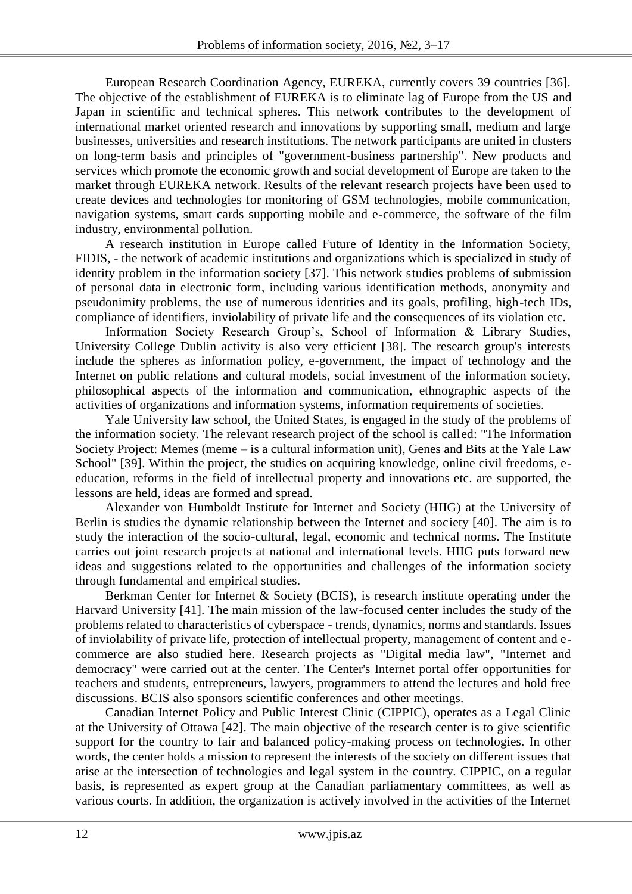European Research Coordination Agency, EUREKA, currently covers 39 countries [36]. The objective of the establishment of EUREKA is to eliminate lag of Europe from the US and Japan in scientific and technical spheres. This network contributes to the development of international market oriented research and innovations by supporting small, medium and large businesses, universities and research institutions. The network participants are united in clusters on long-term basis and principles of "government-business partnership". New products and services which promote the economic growth and social development of Europe are taken to the market through EUREKA network. Results of the relevant research projects have been used to create devices and technologies for monitoring of GSM technologies, mobile communication, navigation systems, smart cards supporting mobile and e-commerce, the software of the film industry, environmental pollution.

A research institution in Europe called Future of Identity in the Information Society, FIDIS, - the network of academic institutions and organizations which is specialized in study of identity problem in the information society [37]. This network studies problems of submission of personal data in electronic form, including various identification methods, anonymity and pseudonimity problems, the use of numerous identities and its goals, profiling, high-tech IDs, compliance of identifiers, inviolability of private life and the consequences of its violation etc.

Information Society Research Group's, School of Information & Library Studies, University College Dublin activity is also very efficient [38]. The research group's interests include the spheres as information policy, e-government, the impact of technology and the Internet on public relations and cultural models, social investment of the information society, philosophical aspects of the information and communication, ethnographic aspects of the activities of organizations and information systems, information requirements of societies.

Yale University law school, the United States, is engaged in the study of the problems of the information society. The relevant research project of the school is called: "The Information Society Project: Memes (meme – is a cultural information unit), Genes and Bits at the Yale Law School" [39]. Within the project, the studies on acquiring knowledge, online civil freedoms, eeducation, reforms in the field of intellectual property and innovations etc. are supported, the lessons are held, ideas are formed and spread.

Alexander von Humboldt Institute for Internet and Society (HIIG) at the University of Berlin is studies the dynamic relationship between the Internet and society [40]. The aim is to study the interaction of the socio-cultural, legal, economic and technical norms. The Institute carries out joint research projects at national and international levels. HIIG puts forward new ideas and suggestions related to the opportunities and challenges of the information society through fundamental and empirical studies.

Berkman Center for Internet & Society (BCIS), is research institute operating under the Harvard University [41]. The main mission of the law-focused center includes the study of the problems related to characteristics of cyberspace - trends, dynamics, norms and standards. Issues of inviolability of private life, protection of intellectual property, management of content and ecommerce are also studied here. Research projects as "Digital media law", "Internet and democracy" were carried out at the center. The Center's Internet portal offer opportunities for teachers and students, entrepreneurs, lawyers, programmers to attend the lectures and hold free discussions. BCIS also sponsors scientific conferences and other meetings.

Canadian Internet Policy and Public Interest Clinic (CIPPIC), operates as a Legal Clinic at the University of Ottawa [42]. The main objective of the research center is to give scientific support for the country to fair and balanced policy-making process on technologies. In other words, the center holds a mission to represent the interests of the society on different issues that arise at the intersection of technologies and legal system in the country. CIPPIC, on a regular basis, is represented as expert group at the Canadian parliamentary committees, as well as various courts. In addition, the organization is actively involved in the activities of the Internet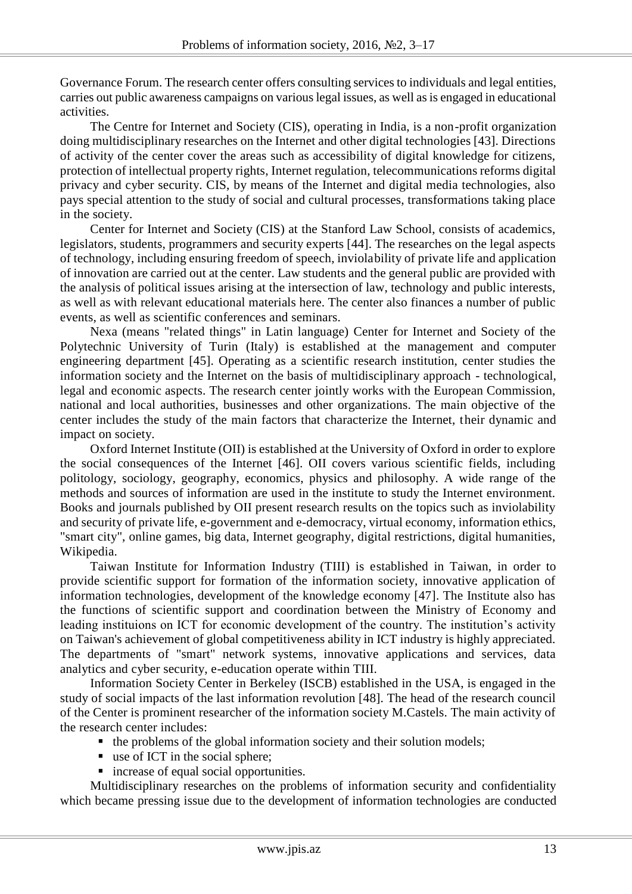Governance Forum. The research center offers consulting services to individuals and legal entities, carries out public awareness campaigns on various legal issues, as well as is engaged in educational activities.

The Centre for Internet and Society (CIS), operating in India, is a non-profit organization doing multidisciplinary researches on the Internet and other digital technologies [43]. Directions of activity of the center cover the areas such as accessibility of digital knowledge for citizens, protection of intellectual property rights, Internet regulation, telecommunications reforms digital privacy and cyber security. CIS, by means of the Internet and digital media technologies, also pays special attention to the study of social and cultural processes, transformations taking place in the society.

Center for Internet and Society (CIS) at the Stanford Law School, consists of academics, legislators, students, programmers and security experts [44]. The researches on the legal aspects of technology, including ensuring freedom of speech, inviolability of private life and application of innovation are carried out at the center. Law students and the general public are provided with the analysis of political issues arising at the intersection of law, technology and public interests, as well as with relevant educational materials here. The center also finances a number of public events, as well as scientific conferences and seminars.

Nexa (means "related things" in Latin language) Center for Internet and Society of the Polytechnic University of Turin (Italy) is established at the management and computer engineering department [45]. Operating as a scientific research institution, center studies the information society and the Internet on the basis of multidisciplinary approach - technological, legal and economic aspects. The research center jointly works with the European Commission, national and local authorities, businesses and other organizations. The main objective of the center includes the study of the main factors that characterize the Internet, their dynamic and impact on society.

Oxford Internet Institute (OII) is established at the University of Oxford in order to explore the social consequences of the Internet [46]. OII covers various scientific fields, including politology, sociology, geography, economics, physics and philosophy. A wide range of the methods and sources of information are used in the institute to study the Internet environment. Books and journals published by OII present research results on the topics such as inviolability and security of private life, e-government and e-democracy, virtual economy, information ethics, "smart city", online games, big data, Internet geography, digital restrictions, digital humanities, Wikipedia.

Taiwan Institute for Information Industry (TIII) is established in Taiwan, in order to provide scientific support for formation of the information society, innovative application of information technologies, development of the knowledge economy [47]. The Institute also has the functions of scientific support and coordination between the Ministry of Economy and leading instituions on ICT for economic development of the country. The institution's activity on Taiwan's achievement of global competitiveness ability in ICT industry is highly appreciated. The departments of "smart" network systems, innovative applications and services, data analytics and cyber security, e-education operate within TIII.

Information Society Center in Berkeley (ISCB) established in the USA, is engaged in the study of social impacts of the last information revolution [48]. The head of the research council of the Center is prominent researcher of the information society M.Castels. The main activity of the research center includes:

- $\blacksquare$  the problems of the global information society and their solution models;
- use of ICT in the social sphere;
- increase of equal social opportunities.

Multidisciplinary researches on the problems of information security and confidentiality which became pressing issue due to the development of information technologies are conducted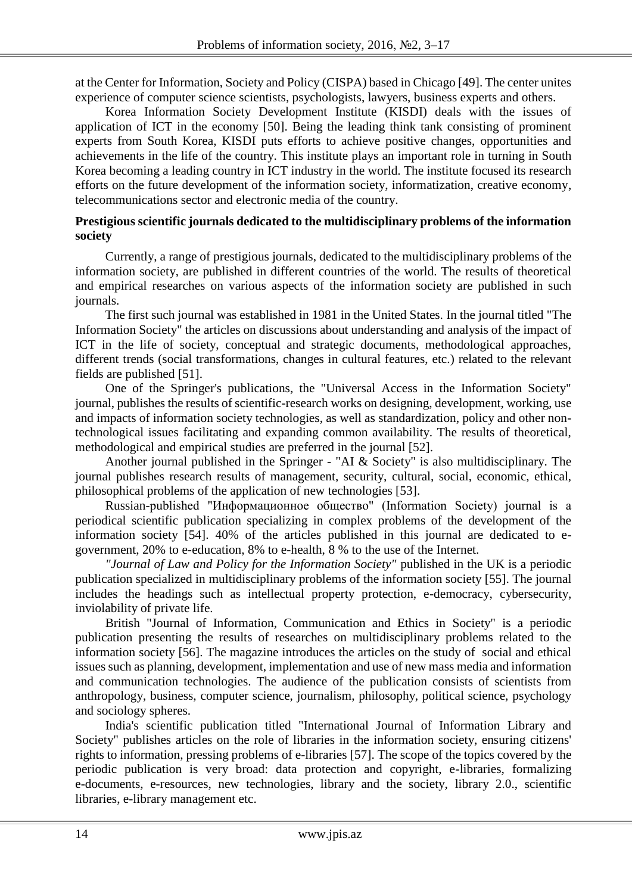at the Center for Information, Society and Policy (CISPA) based in Chicago [49]. The center unites experience of computer science scientists, psychologists, lawyers, business experts and others.

Korea Information Society Development Institute (KISDI) deals with the issues of application of ICT in the economy [50]. Being the leading think tank consisting of prominent experts from South Korea, KISDI puts efforts to achieve positive changes, opportunities and achievements in the life of the country. This institute plays an important role in turning in South Korea becoming a leading country in ICT industry in the world. The institute focused its research efforts on the future development of the information society, informatization, creative economy, telecommunications sector and electronic media of the country.

#### **Prestigious scientific journals dedicated to the multidisciplinary problems of the information society**

Currently, a range of prestigious journals, dedicated to the multidisciplinary problems of the information society, are published in different countries of the world. The results of theoretical and empirical researches on various aspects of the information society are published in such journals.

The first such journal was established in 1981 in the United States. In the journal titled "The Information Society" the articles on discussions about understanding and analysis of the impact of ICT in the life of society, conceptual and strategic documents, methodological approaches, different trends (social transformations, changes in cultural features, etc.) related to the relevant fields are published [51].

One of the Springer's publications, the "Universal Access in the Information Society" journal, publishes the results of scientific-research works on designing, development, working, use and impacts of information society technologies, as well as standardization, policy and other nontechnological issues facilitating and expanding common availability. The results of theoretical, methodological and empirical studies are preferred in the journal [52].

Another journal published in the Springer - "AI & Society" is also multidisciplinary. The journal publishes research results of management, security, cultural, social, economic, ethical, philosophical problems of the application of new technologies [53].

Russian-published "Информационное общество" (Information Society) journal is a periodical scientific publication specializing in complex problems of the development of the information society [54]. 40% of the articles published in this journal are dedicated to egovernment, 20% to e-education, 8% to e-health, 8 % to the use of the Internet.

*"Journal of Law and Policy for the Information Society"* published in the UK is a periodic publication specialized in multidisciplinary problems of the information society [55]. The journal includes the headings such as intellectual property protection, e-democracy, cybersecurity, inviolability of private life.

British "Journal of Information, Communication and Ethics in Society" is a periodic publication presenting the results of researches on multidisciplinary problems related to the information society [56]. The magazine introduces the articles on the study of social and ethical issues such as planning, development, implementation and use of new mass media and information and communication technologies. The audience of the publication consists of scientists from anthropology, business, computer science, journalism, philosophy, political science, psychology and sociology spheres.

India's scientific publication titled "International Journal of Information Library and Society" publishes articles on the role of libraries in the information society, ensuring citizens' rights to information, pressing problems of e-libraries [57]. The scope of the topics covered by the periodic publication is very broad: data protection and copyright, e-libraries, formalizing e-documents, e-resources, new technologies, library and the society, library 2.0., scientific libraries, e-library management etc.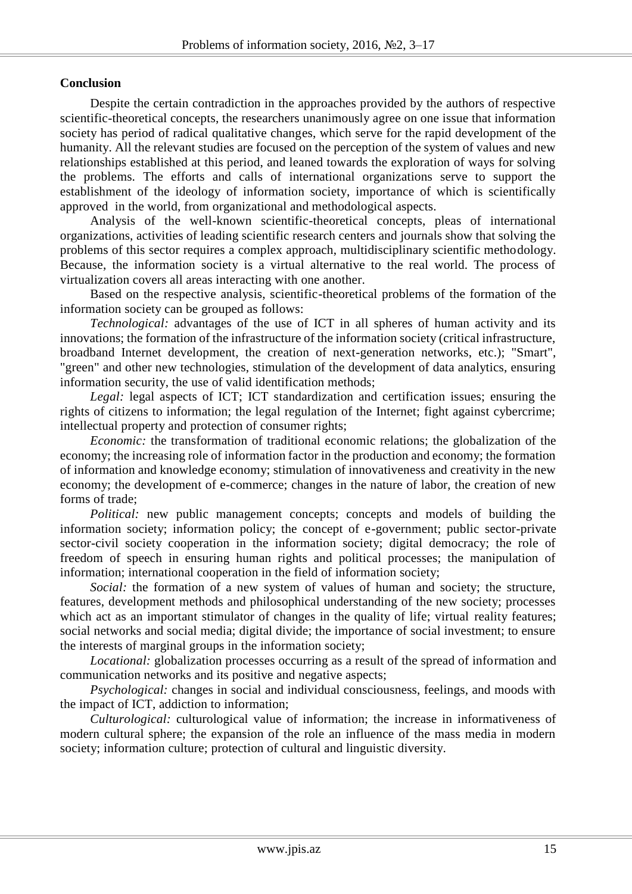## **Conclusion**

Despite the certain contradiction in the approaches provided by the authors of respective scientific-theoretical concepts, the researchers unanimously agree on one issue that information society has period of radical qualitative changes, which serve for the rapid development of the humanity. All the relevant studies are focused on the perception of the system of values and new relationships established at this period, and leaned towards the exploration of ways for solving the problems. The efforts and calls of international organizations serve to support the establishment of the ideology of information society, importance of which is scientifically approved in the world, from organizational and methodological aspects.

Analysis of the well-known scientific-theoretical concepts, pleas of international organizations, activities of leading scientific research centers and journals show that solving the problems of this sector requires a complex approach, multidisciplinary scientific methodology. Because, the information society is a virtual alternative to the real world. The process of virtualization covers all areas interacting with one another.

Based on the respective analysis, scientific-theoretical problems of the formation of the information society can be grouped as follows:

*Technological:* advantages of the use of ICT in all spheres of human activity and its innovations; the formation of the infrastructure of the information society (critical infrastructure, broadband Internet development, the creation of next-generation networks, etc.); "Smart", "green" and other new technologies, stimulation of the development of data analytics, ensuring information security, the use of valid identification methods;

*Legal:* legal aspects of ICT; ICT standardization and certification issues; ensuring the rights of citizens to information; the legal regulation of the Internet; fight against cybercrime; intellectual property and protection of consumer rights;

*Economic:* the transformation of traditional economic relations; the globalization of the economy; the increasing role of information factor in the production and economy; the formation of information and knowledge economy; stimulation of innovativeness and creativity in the new economy; the development of e-commerce; changes in the nature of labor, the creation of new forms of trade;

*Political:* new public management concepts; concepts and models of building the information society; information policy; the concept of e-government; public sector-private sector-civil society cooperation in the information society; digital democracy; the role of freedom of speech in ensuring human rights and political processes; the manipulation of information; international cooperation in the field of information society;

*Social:* the formation of a new system of values of human and society; the structure, features, development methods and philosophical understanding of the new society; processes which act as an important stimulator of changes in the quality of life; virtual reality features; social networks and social media; digital divide; the importance of social investment; to ensure the interests of marginal groups in the information society;

*Locational:* globalization processes occurring as a result of the spread of information and communication networks and its positive and negative aspects;

*Psychological:* changes in social and individual consciousness, feelings, and moods with the impact of ICT, addiction to information;

*Culturological:* culturological value of information; the increase in informativeness of modern cultural sphere; the expansion of the role an influence of the mass media in modern society; information culture; protection of cultural and linguistic diversity.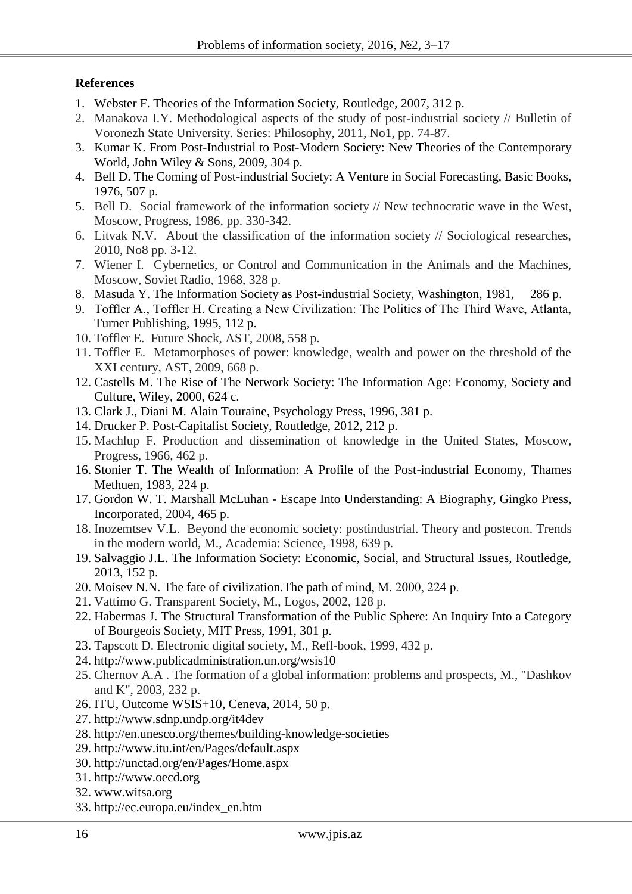# **References**

- 1. Webster F. Theories of the Information Society, Routledge, 2007, 312 p.
- 2. Manakova I.Y. Methodological aspects of the study of post-industrial society // Bulletin of Voronezh State University. Series: Philosophy, 2011, No1, pp. 74-87.
- 3. Kumar K. From Post-Industrial to Post-Modern Society: New Theories of the Contemporary World, John Wiley & Sons, 2009, 304 p.
- 4. Bell D. The Coming of Post-industrial Society: A Venture in Social Forecasting, Basic Books, 1976, 507 p.
- 5. Bell D. Social framework of the information society // New technocratic wave in the West, Moscow, Progress, 1986, pp. 330-342.
- 6. Litvak N.V. About the classification of the information society // Sociological researches, 2010, No8 pp. 3-12.
- 7. Wiener I. Cybernetics, or Control and Communication in the Animals and the Machines, Moscow, Soviet Radio, 1968, 328 p.
- 8. Masuda Y. The Information Society as Post-industrial Society, Washington, 1981, 286 p.
- 9. Toffler A., Toffler Н. Creating a New Civilization: The Politics of The Third Wave, Atlanta, Turner Publishing, 1995, 112 p.
- 10. Toffler E. Future Shock, AST, 2008, 558 p.
- 11. Toffler E. Metamorphoses of power: knowledge, wealth and power on the threshold of the XXI century, AST, 2009, 668 p.
- 12. Castells M. The Rise of The Network Society: The Information Age: Economy, Society and Culture, Wiley, 2000, 624 c.
- 13. Clark J., Diani M. Alain Touraine, Psychology Press, 1996, 381 p.
- 14. Drucker P. Post-Capitalist Society, Routledge, 2012, 212 p.
- 15. Machlup F. Production and dissemination of knowledge in the United States, Moscow, Progress, 1966, 462 p.
- 16. Stonier T. The Wealth of Information: A Profile of the Post-industrial Economy, Thames Methuen, 1983, 224 p.
- 17. Gordon W. T. Marshall McLuhan Escape Into Understanding: A Biography, Gingko Press, Incorporated, 2004, 465 p.
- 18. Inozemtsev V.L. Beyond the economic society: postindustrial. Theory and postecon. Trends in the modern world, M., Academia: Science, 1998, 639 p.
- 19. Salvaggio J.L. The Information Society: Economic, Social, and Structural Issues, Routledge, 2013, 152 p.
- 20. Moisev N.N. The fate of civilization.The path of mind, М. 2000, 224 p.
- 21. Vattimo G. Transparent Society, M., Logos, 2002, 128 p.
- 22. Habermas J. The Structural Transformation of the Public Sphere: An Inquiry Into a Category of Bourgeois Society, MIT Press, 1991, 301 p.
- 23. Tapscott D. Electronic digital society, M., Refl-book, 1999, 432 p.
- 24. <http://www.publicadministration.un.org/wsis10>
- 25. Chernov A.A . The formation of a global information: problems and prospects, M., "Dashkov and K", 2003, 232 p.
- 26. ITU, Outcome WSIS+10, Ceneva, 2014, 50 p.
- 27. <http://www.sdnp.undp.org/it4dev>
- 28. <http://en.unesco.org/themes/building-knowledge-societies>
- 29. <http://www.itu.int/en/Pages/default.aspx>
- 30. <http://unctad.org/en/Pages/Home.aspx>
- 31. [http://www.oecd.org](http://www.oecd.org/)
- 32. [www.witsa.org](http://www.witsa.org/)
- 33. [http://ec.europa.eu/index\\_en.htm](http://ec.europa.eu/index_en.htm)